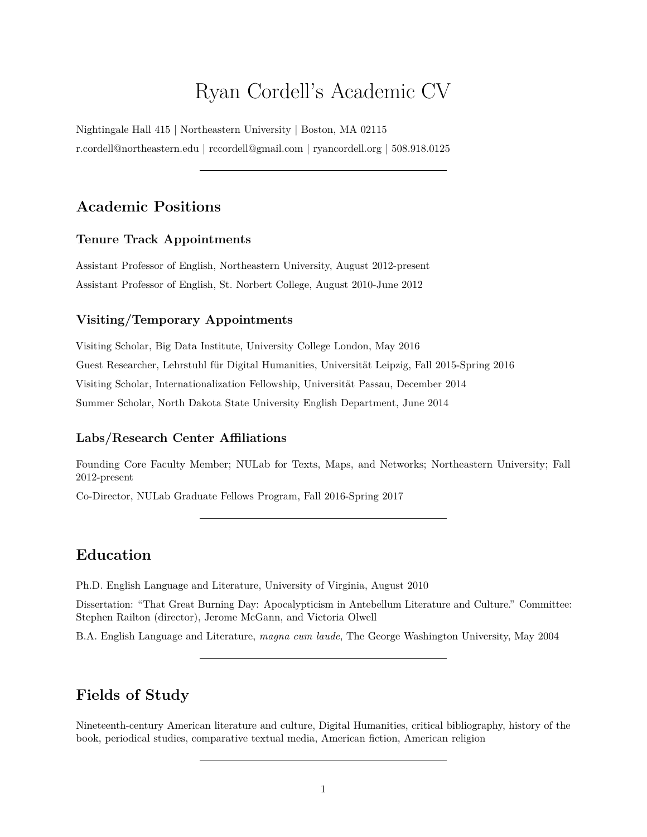# Ryan Cordell's Academic CV

Nightingale Hall 415 | Northeastern University | Boston, MA 02115 [r.cordell@northeastern.edu](mailto:r.cordell@northeastern.edu) | [rccordell@gmail.com](mailto:rccordell@gmail.com) | [ryancordell.org](http://ryancordell.org) | 508.918.0125

## **Academic Positions**

### **Tenure Track Appointments**

Assistant Professor of English, Northeastern University, August 2012-present Assistant Professor of English, St. Norbert College, August 2010-June 2012

### **Visiting/Temporary Appointments**

Visiting Scholar, Big Data Institute, University College London, May 2016 Guest Researcher, Lehrstuhl für Digital Humanities, Universität Leipzig, Fall 2015-Spring 2016 Visiting Scholar, Internationalization Fellowship, Universität Passau, December 2014 [Summer Scholar,](http://www.ndsu.edu/english/summer_scholars/) North Dakota State University English Department, June 2014

### **Labs/Research Center Affiliations**

Founding Core Faculty Member; [NULab for Texts, Maps, and Networks;](http://www.northeastern.edu/nulab/) Northeastern University; Fall 2012-present

Co-Director, NULab Graduate Fellows Program, Fall 2016-Spring 2017

## **Education**

Ph.D. English Language and Literature, University of Virginia, August 2010

Dissertation: "That Great Burning Day: Apocalypticism in Antebellum Literature and Culture." Committee: Stephen Railton (director), Jerome McGann, and Victoria Olwell

B.A. English Language and Literature, *magna cum laude*, The George Washington University, May 2004

## **Fields of Study**

Nineteenth-century American literature and culture, Digital Humanities, critical bibliography, history of the book, periodical studies, comparative textual media, American fiction, American religion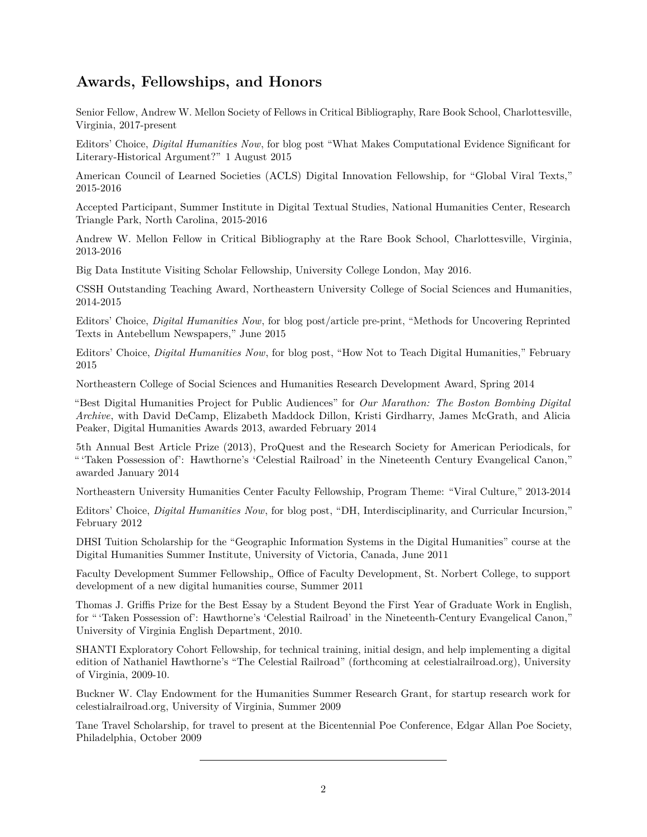## **Awards, Fellowships, and Honors**

Senior Fellow, Andrew W. Mellon Society of Fellows in Critical Bibliography, Rare Book School, Charlottesville, Virginia, 2017-present

Editors' Choice, *[Digital Humanities Now](http://digitalhumanitiesnow.org/2017/08/what-makes-computational-evidence-significant-for-literary-historical-argument/)*, for blog post "What Makes Computational Evidence Significant for Literary-Historical Argument?" 1 August 2015

American Council of Learned Societies (ACLS) [Digital Innovation Fellowship,](https://www.acls.org/research/digital.aspx?id=798&linkidentifier=id&itemid=798) for "Global Viral Texts," 2015-2016

Accepted Participant, [Summer Institute in Digital Textual Studies,](http://nationalhumanitiescenter.org/digital-humanities/) National Humanities Center, Research Triangle Park, North Carolina, 2015-2016

[Andrew W. Mellon Fellow in Critical Bibliography](http://www.rarebookschool.org/fellowships/mellon/) at the Rare Book School, Charlottesville, Virginia, 2013-2016

Big Data Institute Visiting Scholar Fellowship, University College London, May 2016.

CSSH Outstanding Teaching Award, Northeastern University College of Social Sciences and Humanities, 2014-2015

Editors' Choice, *[Digital Humanities Now](http://digitalhumanitiesnow.org/2015/06/editors-choice-methods-for-uncovering-reprinted-texts-in-antebellum-newspapers/)*, for blog post/article pre-print, "Methods for Uncovering Reprinted Texts in Antebellum Newspapers," June 2015

Editors' Choice, *[Digital Humanities Now](http://digitalhumanitiesnow.org/2015/02/editors-choice-how-not-to-teach-digital-humanities/)*, for blog post, "How Not to Teach Digital Humanities," February 2015

Northeastern College of Social Sciences and Humanities Research Development Award, Spring 2014

"Best Digital Humanities Project for Public Audiences" for *[Our Marathon: The Boston Bombing Digital](http://marathon.neu.edu/) [Archive](http://marathon.neu.edu/)*, with David DeCamp, Elizabeth Maddock Dillon, Kristi Girdharry, James McGrath, and Alicia Peaker, [Digital Humanities Awards 2013,](http://dhawards.org/dhawards2013/results/) awarded February 2014

5th Annual Best Article Prize (2013), ProQuest and the Research Society for American Periodicals, for " 'Taken Possession of': Hawthorne's 'Celestial Railroad' in the Nineteenth Century Evangelical Canon," awarded January 2014

Northeastern University Humanities Center Faculty Fellowship, Program Theme: "Viral Culture," 2013-2014

Editors' Choice, *[Digital Humanities Now](http://digitalhumanitiesnow.org/2012/02/editors-choice-dh-interdisciplinarity-and-curricular-incursion/)*, for blog post, "DH, Interdisciplinarity, and Curricular Incursion," February 2012

DHSI Tuition Scholarship for the "Geographic Information Systems in the Digital Humanities" course at the Digital Humanities Summer Institute, University of Victoria, Canada, June 2011

Faculty Development Summer Fellowship,, Office of Faculty Development, St. Norbert College, to support development of a new digital humanities course, Summer 2011

Thomas J. Griffis Prize for the Best Essay by a Student Beyond the First Year of Graduate Work in English, for " 'Taken Possession of': Hawthorne's 'Celestial Railroad' in the Nineteenth-Century Evangelical Canon," University of Virginia English Department, 2010.

SHANTI Exploratory Cohort Fellowship, for technical training, initial design, and help implementing a digital edition of Nathaniel Hawthorne's "The Celestial Railroad" (forthcoming at celestialrailroad.org), University of Virginia, 2009-10.

Buckner W. Clay Endowment for the Humanities Summer Research Grant, for startup research work for celestialrailroad.org, University of Virginia, Summer 2009

Tane Travel Scholarship, for travel to present at the Bicentennial Poe Conference, Edgar Allan Poe Society, Philadelphia, October 2009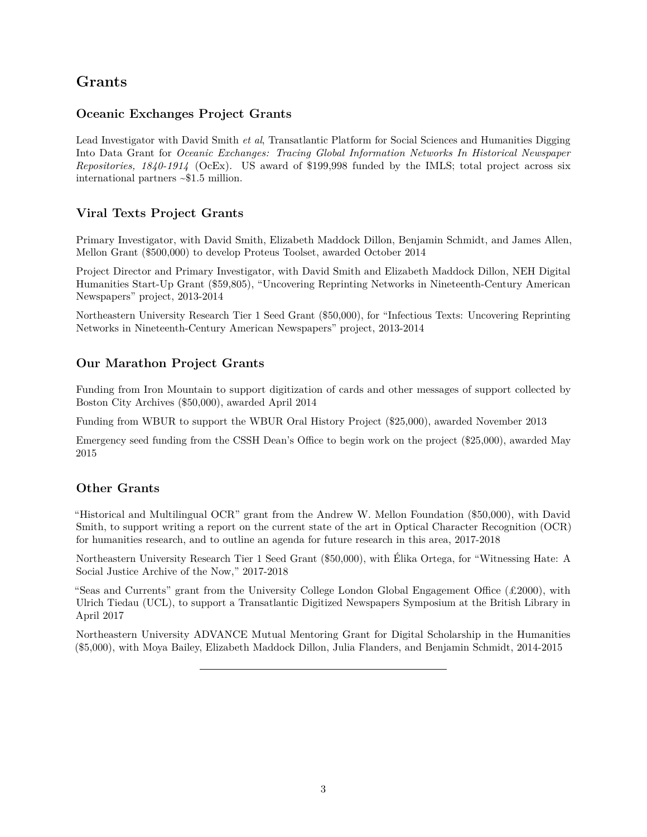## **Grants**

### **Oceanic Exchanges Project Grants**

Lead Investigator with David Smith *et al*, Transatlantic Platform for Social Sciences and Humanities Digging Into Data Grant for *[Oceanic Exchanges: Tracing Global Information Networks In Historical Newspaper](https://diggingintodata.org/awards/2016/project/oceanic-exchanges-tracing-global-information-networks-historical-newspaper) [Repositories, 1840-1914](https://diggingintodata.org/awards/2016/project/oceanic-exchanges-tracing-global-information-networks-historical-newspaper)* (OcEx). US award of \$199,998 funded by the IMLS; total project across six international partners ~\$1.5 million.

### **Viral Texts Project Grants**

Primary Investigator, with David Smith, Elizabeth Maddock Dillon, Benjamin Schmidt, and James Allen, Mellon Grant (\$500,000) to develop Proteus Toolset, awarded October 2014

Project Director and Primary Investigator, with David Smith and Elizabeth Maddock Dillon, [NEH Digital](http://www.neh.gov/divisions/odh/grant-news/announcing-23-digital-humanities-start-grant-awards-march-2013) [Humanities Start-Up Grant](http://www.neh.gov/divisions/odh/grant-news/announcing-23-digital-humanities-start-grant-awards-march-2013) (\$59,805), "Uncovering Reprinting Networks in Nineteenth-Century American Newspapers" project, 2013-2014

Northeastern University Research Tier 1 Seed Grant (\$50,000), for "Infectious Texts: Uncovering Reprinting Networks in Nineteenth-Century American Newspapers" project, 2013-2014

### **Our Marathon Project Grants**

Funding from Iron Mountain to support digitization of cards and other messages of support collected by Boston City Archives (\$50,000), awarded April 2014

Funding from WBUR to support the WBUR Oral History Project (\$25,000), awarded November 2013

Emergency seed funding from the CSSH Dean's Office to begin work on the project (\$25,000), awarded May 2015

### **Other Grants**

["Historical and Multilingual OCR"](http://ocr.northeastern.edu/) grant from the Andrew W. Mellon Foundation (\$50,000), with David Smith, to support writing a report on the current state of the art in Optical Character Recognition (OCR) for humanities research, and to outline an agenda for future research in this area, 2017-2018

Northeastern University Research Tier 1 Seed Grant (\$50,000), with Élika Ortega, for "Witnessing Hate: A Social Justice Archive of the Now," 2017-2018

"Seas and Currents" grant from the University College London Global Engagement Office  $(\pounds 2000)$ , with Ulrich Tiedau (UCL), to support a Transatlantic Digitized Newspapers Symposium at the British Library in April 2017

Northeastern University ADVANCE Mutual Mentoring Grant for Digital Scholarship in the Humanities (\$5,000), with Moya Bailey, Elizabeth Maddock Dillon, Julia Flanders, and Benjamin Schmidt, 2014-2015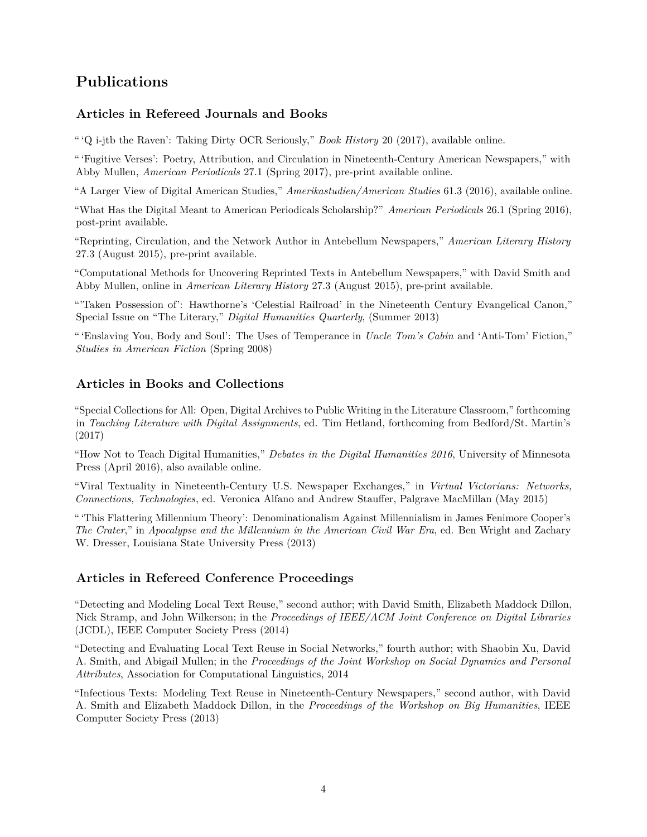## **Publications**

### **Articles in Refereed Journals and Books**

" 'Q i-jtb the Raven': Taking Dirty OCR Seriously," *Book History* 20 (2017), [available online.](http://ryancordell.org/research/qijtb-the-raven/)

" 'Fugitive Verses': Poetry, Attribution, and Circulation in Nineteenth-Century American Newspapers," with Abby Mullen, *American Periodicals* 27.1 (Spring 2017), [pre-print available online.](http://viraltexts.org/2016/04/08/fugitive-verses/)

"A Larger View of Digital American Studies," *Amerikastudien/American Studies* 61.3 (2016), [available online.](http://ryancordell.org/research/a-larger-view-of-digital-american-studies/)

"What Has the Digital Meant to American Periodicals Scholarship?" *American Periodicals* 26.1 (Spring 2016), [post-print available.](http://ryancordell.org/research/what-has-the-digital-meant-to-american-periodicals-scholarship/)

"Reprinting, Circulation, and the Network Author in Antebellum Newspapers," *American Literary History* 27.3 (August 2015), [pre-print available.](http://ryancordell.org/research/reprinting-circulation-and-the-network-author-in-antebellum-newspapers/)

"Computational Methods for Uncovering Reprinted Texts in Antebellum Newspapers," with David Smith and Abby Mullen, online in *American Literary History* 27.3 (August 2015), [pre-print available.](http://viraltexts.org/2015/05/22/computational-methods-for-uncovering-reprinted-texts-in-antebellum-newspapers/)

"['Taken Possession of': Hawthorne's 'Celestial Railroad' in the Nineteenth Century Evangelical Canon,](http://www.digitalhumanities.org/dhq/vol/7/1/000144/000144.html)" Special Issue on "The Literary," *Digital Humanities Quarterly*, (Summer 2013)

" 'Enslaving You, Body and Soul': The Uses of Temperance in *Uncle Tom's Cabin* and 'Anti-Tom' Fiction," *Studies in American Fiction* (Spring 2008)

#### **Articles in Books and Collections**

"Special Collections for All: Open, Digital Archives to Public Writing in the Literature Classroom," forthcoming in *Teaching Literature with Digital Assignments*, ed. Tim Hetland, forthcoming from Bedford/St. Martin's (2017)

"How Not to Teach Digital Humanities," *Debates in the Digital Humanities 2016*, University of Minnesota Press (April 2016), [also available online.](http://dhdebates.gc.cuny.edu/debates/text/87)

"Viral Textuality in Nineteenth-Century U.S. Newspaper Exchanges," in *[Virtual Victorians: Networks,](http://www.amazon.com/gp/product/1137398205/ref=as_li_tl?ie=UTF8&camp=1789&creative=390957&creativeASIN=1137398205&linkCode=as2&tag=ryacorsonlhom-20&linkId=5FUIFHQGCAK45R56) [Connections, Technologies](http://www.amazon.com/gp/product/1137398205/ref=as_li_tl?ie=UTF8&camp=1789&creative=390957&creativeASIN=1137398205&linkCode=as2&tag=ryacorsonlhom-20&linkId=5FUIFHQGCAK45R56)*, ed. Veronica Alfano and Andrew Stauffer, Palgrave MacMillan (May 2015)

" 'This Flattering Millennium Theory': Denominationalism Against Millennialism in James Fenimore Cooper's *The Crater*," in *Apocalypse and the Millennium in the American Civil War Era*, ed. Ben Wright and Zachary W. Dresser, Louisiana State University Press (2013)

#### **Articles in Refereed Conference Proceedings**

["Detecting and Modeling Local Text Reuse,"](http://www.ccs.neu.edu/home/dasmith/infect-dl-2014.pdf) second author; with David Smith, Elizabeth Maddock Dillon, Nick Stramp, and John Wilkerson; in the *Proceedings of IEEE/ACM Joint Conference on Digital Libraries* (JCDL), IEEE Computer Society Press (2014)

["Detecting and Evaluating Local Text Reuse in Social Networks,"](http://www.aclweb.org/anthology/W/W14/W14-2707.pdf) fourth author; with Shaobin Xu, David A. Smith, and Abigail Mullen; in the *Proceedings of the Joint Workshop on Social Dynamics and Personal Attributes*, Association for Computational Linguistics, 2014

["Infectious Texts: Modeling Text Reuse in Nineteenth-Century Newspapers,](http://www.ccs.neu.edu/home/dasmith/infect-bighum-2013.pdf)" second author, with David A. Smith and Elizabeth Maddock Dillon, in the *Proceedings of the Workshop on Big Humanities*, IEEE Computer Society Press (2013)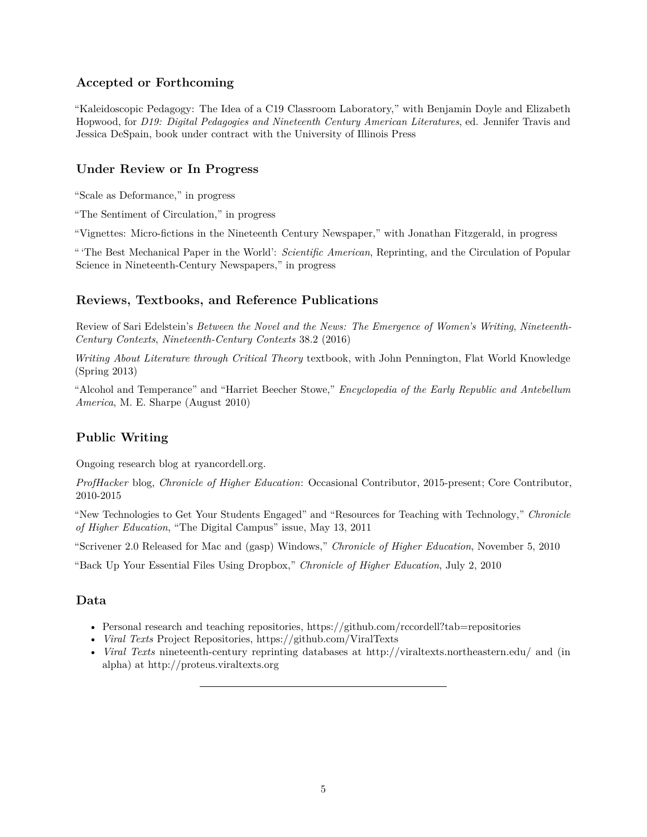### **Accepted or Forthcoming**

"Kaleidoscopic Pedagogy: The Idea of a C19 Classroom Laboratory," with Benjamin Doyle and Elizabeth Hopwood, for *D19: Digital Pedagogies and Nineteenth Century American Literatures*, ed. Jennifer Travis and Jessica DeSpain, book under contract with the University of Illinois Press

### **Under Review or In Progress**

"Scale as Deformance," in progress

"The Sentiment of Circulation," in progress

"Vignettes: Micro-fictions in the Nineteenth Century Newspaper," with Jonathan Fitzgerald, in progress

" 'The Best Mechanical Paper in the World': *Scientific American*, Reprinting, and the Circulation of Popular Science in Nineteenth-Century Newspapers," in progress

#### **Reviews, Textbooks, and Reference Publications**

Review of Sari Edelstein's *Between the Novel and the News: The Emergence of Women's Writing*, *Nineteenth-Century Contexts*, *Nineteenth-Century Contexts* 38.2 (2016)

*[Writing About Literature through Critical Theory](http://catalog.flatworldknowledge.com/bookhub/reader/5248)* textbook, with John Pennington, Flat World Knowledge (Spring 2013)

"Alcohol and Temperance" and "Harriet Beecher Stowe," *Encyclopedia of the Early Republic and Antebellum America*, M. E. Sharpe (August 2010)

#### **Public Writing**

Ongoing research blog at [ryancordell.org.](http://ryancordell.org/)

*[ProfHacker](http://chronicle.com/blogs/profhacker/author/rcordell)* blog, *Chronicle of Higher Education*: Occasional Contributor, 2015-present; Core Contributor, 2010-2015

["New Technologies to Get Your Students Engaged"](http://chronicle.com/article/New-Technologies-to-Get-Your/127394/) and ["Resources for Teaching with Technology,](http://chronicle.com/article/New-Technologies-to-Get-Your/127394/)" *Chronicle of Higher Education*, "The Digital Campus" issue, May 13, 2011

"Scrivener 2.0 Released for Mac and (gasp) Windows," *Chronicle of Higher Education*, November 5, 2010

"Back Up Your Essential Files Using Dropbox," *Chronicle of Higher Education*, July 2, 2010

#### **Data**

- Personal research and teaching repositories,<https://github.com/rccordell?tab=repositories>
- *Viral Texts* Project Repositories,<https://github.com/ViralTexts>
- *Viral Texts* nineteenth-century reprinting databases at<http://viraltexts.northeastern.edu/> and (in alpha) at<http://proteus.viraltexts.org>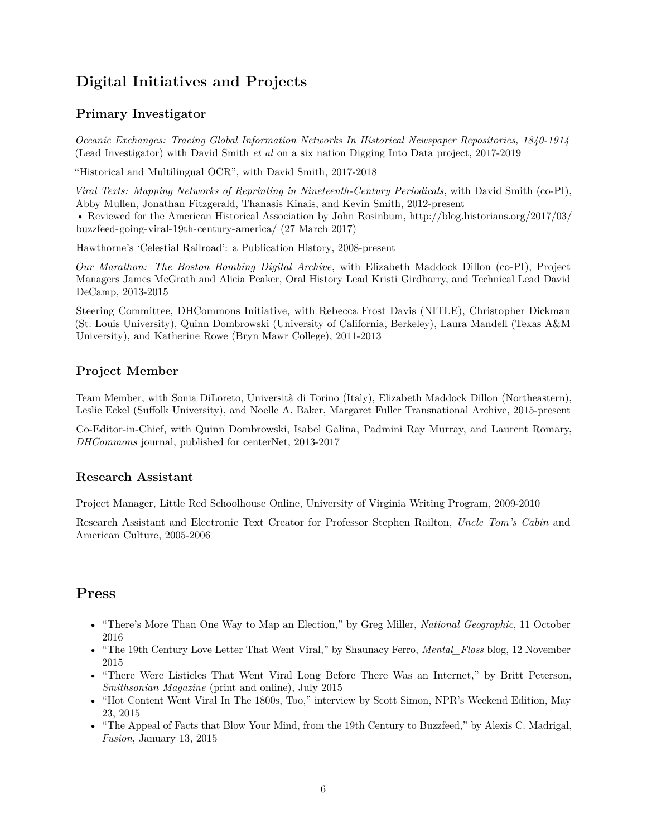## **Digital Initiatives and Projects**

### **Primary Investigator**

*[Oceanic Exchanges: Tracing Global Information Networks In Historical Newspaper Repositories, 1840-1914](http://oceanicexchanges.org/)* (Lead Investigator) with David Smith *et al* on a six nation [Digging Into Data](https://diggingintodata.org/awards/2016/project/oceanic-exchanges-tracing-global-information-networks-historical-newspaper) project, 2017-2019

["Historical and Multilingual OCR",](http://ocr.northeastern.edu/) with David Smith, 2017-2018

*[Viral Texts: Mapping Networks of Reprinting in Nineteenth-Century Periodicals](http://viraltexts.org)*, with David Smith (co-PI), Abby Mullen, Jonathan Fitzgerald, Thanasis Kinais, and Kevin Smith, 2012-present

• Reviewed for the American Historical Association by John Rosinbum, [http://blog.historians.org/2017/03/](http://blog.historians.org/2017/03/buzzfeed-going-viral-19th-century-america/) [buzzfeed-going-viral-19th-century-america/](http://blog.historians.org/2017/03/buzzfeed-going-viral-19th-century-america/) (27 March 2017)

[Hawthorne's 'Celestial Railroad': a Publication History,](http://celestialrailroad.org) 2008-present

*[Our Marathon: The Boston Bombing Digital Archive](http://marathon.neu.edu)*, with Elizabeth Maddock Dillon (co-PI), Project Managers James McGrath and Alicia Peaker, Oral History Lead Kristi Girdharry, and Technical Lead David DeCamp, 2013-2015

Steering Committee, DHCommons Initiative, with Rebecca Frost Davis (NITLE), Christopher Dickman (St. Louis University), Quinn Dombrowski (University of California, Berkeley), Laura Mandell (Texas A&M University), and Katherine Rowe (Bryn Mawr College), 2011-2013

### **Project Member**

Team Member, with Sonia DiLoreto, Università di Torino (Italy), Elizabeth Maddock Dillon (Northeastern), Leslie Eckel (Suffolk University), and Noelle A. Baker, Margaret Fuller Transnational Archive, 2015-present

Co-Editor-in-Chief, with Quinn Dombrowski, Isabel Galina, Padmini Ray Murray, and Laurent Romary, *[DHCommons](http://dhcommons.org)* journal, published for centerNet, 2013-2017

#### **Research Assistant**

Project Manager, [Little Red Schoolhouse Online,](http://redschoolhouse.org/) University of Virginia Writing Program, 2009-2010

Research Assistant and Electronic Text Creator for Professor Stephen Railton, *[Uncle Tom's Cabin](http://utc.iath.virginia.edu/)* and [American Culture,](http://utc.iath.virginia.edu/) 2005-2006

## **Press**

- ["There's More Than One Way to Map an Election,"](http://news.nationalgeographic.com/2016/10/united-states-election-map-history/) by Greg Miller, *National Geographic*, 11 October 2016
- ["The 19th Century Love Letter That Went Viral,"](http://mentalfloss.com/article/71106/19th-century-love-letter-went-viral) by Shaunacy Ferro, *Mental\_Floss* blog, 12 November 2015
- ["There Were Listicles That Went Viral Long Before There Was an Internet,"](http://www.smithsonianmag.com/innovation/listicles-went-viral-long-before-internet-180955742/?no-ist) by Britt Peterson, *Smithsonian Magazine* (print and online), July 2015
- ["Hot Content Went Viral In The 1800s, Too,"](http://www.npr.org/2015/05/23/408996490/hot-content-went-viral-in-the-1800s-too) interview by Scott Simon, NPR's Weekend Edition, May 23, 2015
- ["The Appeal of Facts that Blow Your Mind, from the 19th Century to Buzzfeed,"](http://fusion.net/story/38218/the-appeal-of-facts-that-blow-your-mind-from-the-19th-century-to-buzzfeed/) by Alexis C. Madrigal, *Fusion*, January 13, 2015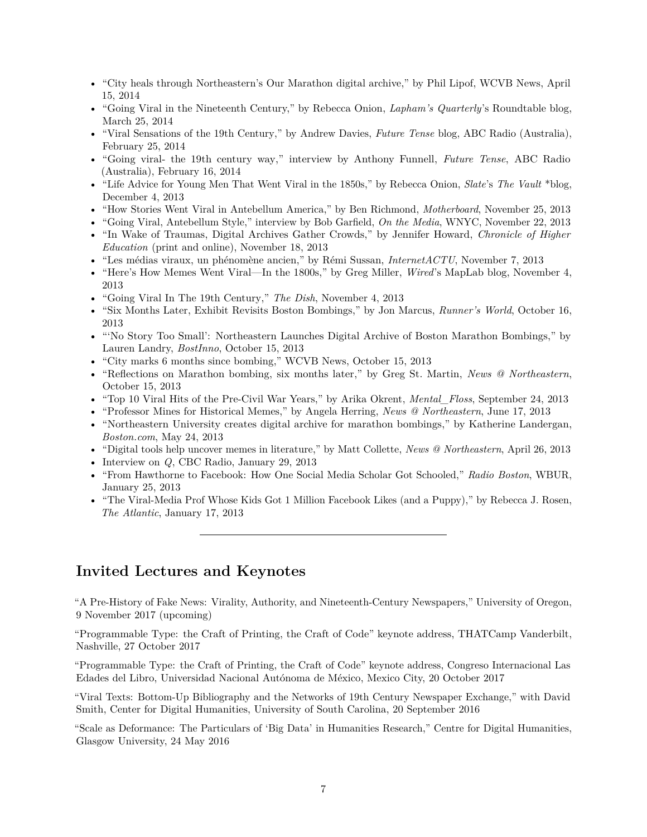- ["City heals through Northeastern's Our Marathon digital archive,"](http://www.wcvb.com/news/City-heals-through-Northeastern-s-Our-Marathon-digital-archive/25488178) by Phil Lipof, WCVB News, April 15, 2014
- ["Going Viral in the Nineteenth Century,"](http://www.laphamsquarterly.org/roundtable/going-viral-nineteenth-century) by Rebecca Onion, *Lapham's Quarterly*'s Roundtable blog, March 25, 2014
- ["Viral Sensations of the 19th Century,](http://www.abc.net.au/radionational/programs/futuretense/viral-sensations-of-the-19th-century/5280340)" by Andrew Davies, *Future Tense* blog, ABC Radio (Australia), February 25, 2014
- ["Going viral- the 19th century way,](http://www.abc.net.au/radionational/programs/futuretense/going-viral--the-19th-century-way/5251686)" interview by Anthony Funnell, *Future Tense*, ABC Radio (Australia), February 16, 2014
- ["Life Advice for Young Men That Went Viral in the 1850s,](http://www.slate.com/blogs/the_vault/2013/12/04/advice_for_men_list_of_maxims_that_went_viral_in_the_nineteenth_century.html)" by Rebecca Onion, *Slate*'s *The Vault* \*blog, December 4, 2013
- ["How Stories Went Viral in Antebellum America,](http://motherboard.vice.com/blog/how-stories-went-viral-in-antebellum-america)" by Ben Richmond, *Motherboard*, November 25, 2013
- ["Going Viral, Antebellum Style,](http://www.onthemedia.org/story/going-viral-antebellum-style/)" interview by Bob Garfield, *On the Media*, WNYC, November 22, 2013
- ["In Wake of Traumas, Digital Archives Gather Crowds,](http://chronicle.com/article/In-Wake-of-Traumas-Digital/143077/)" by Jennifer Howard, *Chronicle of Higher Education* (print and online), November 18, 2013
- ["Les médias viraux, un phénomène ancien,](http://www.internetactu.net/2013/11/07/les-medias-viraux-un-phenomene-ancien/)" by Rémi Sussan, *InternetACTU*, November 7, 2013
- ["Here's How Memes Went Viral—In the 1800s,](http://www.wired.com/wiredscience/2013/11/data-mining-viral-texts-1800s/)" by Greg Miller, *Wired*'s MapLab blog, November 4, 2013
- ["Going Viral In The 19th Century,](http://dish.andrewsullivan.com/2013/11/04/19th-century-virality/)" *The Dish*, November 4, 2013
- ["Six Months Later, Exhibit Revisits Boston Bombings,](http://www.runnersworld.com/boston-marathon/six-months-later-exhibit-revisits-boston-bombings)" by Jon Marcus, *Runner's World*, October 16, 2013
- ["'No Story Too Small': Northeastern Launches Digital Archive of Boston Marathon Bombings,](http://bostinno.streetwise.co/2013/10/15/boston-events-boston-marathon-2013-digital-archive-at-northeastern/)" by Lauren Landry, *BostInno*, October 15, 2013
- ["City marks 6 months since bombing,](http://www.wcvb.com/news/local/metro/City-marks-6-months-since-bombing/-/11971628/22451352/-/rtoulr/-/index.html)" WCVB News, October 15, 2013
- ["Reflections on Marathon bombing, six months later,](http://www.northeastern.edu/news/2013/10/our-marathon-exhibit/)" by Greg St. Martin, *News @ Northeastern*, October 15, 2013
- ["Top 10 Viral Hits of the Pre-Civil War Years,](http://mentalfloss.com/article/52867/top-10-viral-hits-pre-civil-war-years)" by Arika Okrent, *Mental\_Floss*, September 24, 2013
- ["Professor Mines for Historical Memes,](http://www.northeastern.edu/news/2013/06/professor-mines-for-historical-memes/)" by Angela Herring, *News @ Northeastern*, June 17, 2013
- ["Northeastern University creates digital archive for marathon bombings,](http://www.boston.com/yourcampus/news/northeastern/2013/05/northeastern_university_creates_digital_archive_for_marathon_bombings.html)" by Katherine Landergan, *Boston.com*, May 24, 2013
- ["Digital tools help uncover memes in literature,](http://www.northeastern.edu/news/2013/04/finnegans-wake-memes/)" by Matt Collette, *News @ Northeastern*, April 26, 2013
- [Interview on](http://www.cbc.ca/player/Radio/ID/2330327663/) *Q*, CBC Radio, January 29, 2013
- ["From Hawthorne to Facebook: How One Social Media Scholar Got Schooled,](http://radioboston.wbur.org/2013/01/25/social)" *Radio Boston*, WBUR, January 25, 2013
- ["The Viral-Media Prof Whose Kids Got 1 Million Facebook Likes \(and a Puppy\),](http://www.theatlantic.com/technology/archive/2013/01/the-viral-media-prof-whose-kids-got-1-million-facebook-likes-and-a-puppy/267338/)" by Rebecca J. Rosen, *The Atlantic*, January 17, 2013

## **Invited Lectures and Keynotes**

"A Pre-History of Fake News: Virality, Authority, and Nineteenth-Century Newspapers," University of Oregon, 9 November 2017 (upcoming)

"Programmable Type: the Craft of Printing, the Craft of Code" keynote address, [THATCamp Vanderbilt,](https://www.vanderbilt.edu/digitalhumanities/thatcamp-2017/) Nashville, 27 October 2017

"Programmable Type: the Craft of Printing, the Craft of Code" keynote address, [Congreso Internacional Las](http://www.actividadesacademicas.iib.unam.mx/index.php/EDL/edl17/schedConf/overview) [Edades del Libro,](http://www.actividadesacademicas.iib.unam.mx/index.php/EDL/edl17/schedConf/overview) Universidad Nacional Autónoma de México, Mexico City, 20 October 2017

"Viral Texts: Bottom-Up Bibliography and the Networks of 19th Century Newspaper Exchange," with David Smith, Center for Digital Humanities, University of South Carolina, 20 September 2016

"Scale as Deformance: The Particulars of 'Big Data' in Humanities Research," Centre for Digital Humanities, Glasgow University, 24 May 2016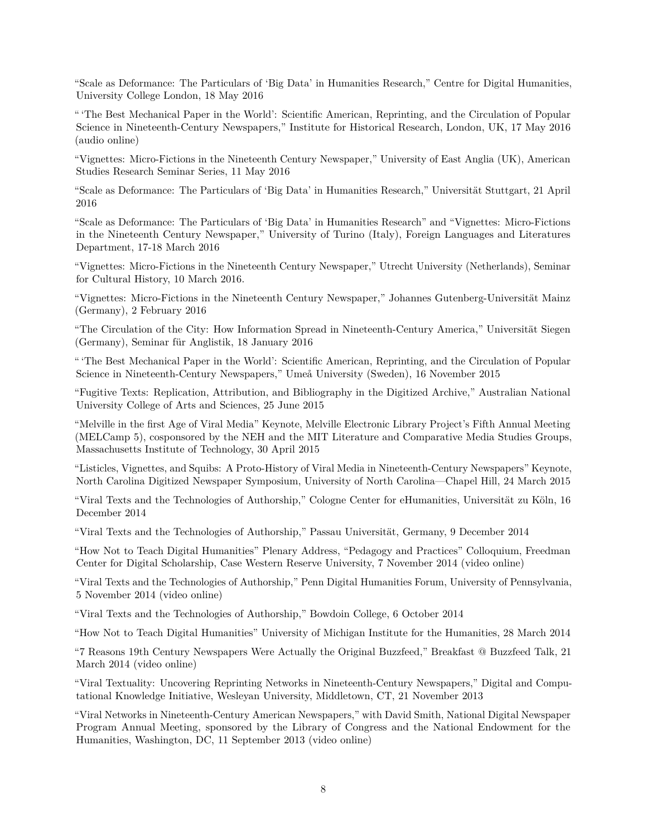"Scale as Deformance: The Particulars of 'Big Data' in Humanities Research," Centre for Digital Humanities, University College London, 18 May 2016

" 'The Best Mechanical Paper in the World': Scientific American, Reprinting, and the Circulation of Popular Science in Nineteenth-Century Newspapers," Institute for Historical Research, London, UK, 17 May 2016 [\(audio online\)](http://www.history.ac.uk/podcasts/digital-history/best-mechanical-paper-world-scientific-american-reprinting-and-circulation)

"Vignettes: Micro-Fictions in the Nineteenth Century Newspaper," University of East Anglia (UK), American Studies Research Seminar Series, 11 May 2016

"Scale as Deformance: The Particulars of 'Big Data' in Humanities Research," Universität Stuttgart, 21 April 2016

"Scale as Deformance: The Particulars of 'Big Data' in Humanities Research" and "Vignettes: Micro-Fictions in the Nineteenth Century Newspaper," University of Turino (Italy), Foreign Languages and Literatures Department, 17-18 March 2016

"Vignettes: Micro-Fictions in the Nineteenth Century Newspaper," Utrecht University (Netherlands), Seminar for Cultural History, 10 March 2016.

"Vignettes: Micro-Fictions in the Nineteenth Century Newspaper," Johannes Gutenberg-Universität Mainz (Germany), 2 February 2016

"The Circulation of the City: How Information Spread in Nineteenth-Century America," Universität Siegen (Germany), Seminar für Anglistik, 18 January 2016

" 'The Best Mechanical Paper in the World': Scientific American, Reprinting, and the Circulation of Popular Science in Nineteenth-Century Newspapers," Umeå University (Sweden), 16 November 2015

"Fugitive Texts: Replication, Attribution, and Bibliography in the Digitized Archive," Australian National University College of Arts and Sciences, 25 June 2015

"Melville in the first Age of Viral Media" Keynote, Melville Electronic Library Project's Fifth Annual Meeting (MELCamp 5), cosponsored by the NEH and the MIT Literature and Comparative Media Studies Groups, Massachusetts Institute of Technology, 30 April 2015

"Listicles, Vignettes, and Squibs: A Proto-History of Viral Media in Nineteenth-Century Newspapers" Keynote, North Carolina Digitized Newspaper Symposium, University of North Carolina—Chapel Hill, 24 March 2015

"Viral Texts and the Technologies of Authorship," Cologne Center for eHumanities, Universität zu Köln, 16 December 2014

"Viral Texts and the Technologies of Authorship," Passau Universität, Germany, 9 December 2014

"How Not to Teach Digital Humanities" Plenary Address, "Pedagogy and Practices" Colloquium, Freedman Center for Digital Scholarship, Case Western Reserve University, 7 November 2014 [\(video online\)](https://www.youtube.com/watch?v=PoaKhHhZ-_Y&index=18&list=PLBELrG1nZ2U7uwRc5kwZPdnt2tKYkf9pv)

"Viral Texts and the Technologies of Authorship," Penn Digital Humanities Forum, University of Pennsylvania, 5 November 2014 [\(video online\)](http://vimeo.com/album/3101285/video/111541947)

"Viral Texts and the Technologies of Authorship," Bowdoin College, 6 October 2014

"How Not to Teach Digital Humanities" University of Michigan Institute for the Humanities, 28 March 2014

"7 Reasons 19th Century Newspapers Were Actually the Original Buzzfeed," Breakfast @ Buzzfeed Talk, 21 March 2014 [\(video online\)](https://www.youtube.com/watch?v=KPHCdHfzC9Q)

"Viral Textuality: Uncovering Reprinting Networks in Nineteenth-Century Newspapers," Digital and Computational Knowledge Initiative, Wesleyan University, Middletown, CT, 21 November 2013

"Viral Networks in Nineteenth-Century American Newspapers," with David Smith, National Digital Newspaper Program Annual Meeting, sponsored by the Library of Congress and the National Endowment for the Humanities, Washington, DC, 11 September 2013 [\(video online\)](https://www.youtube.com/watch?v=gR5sghIgog8)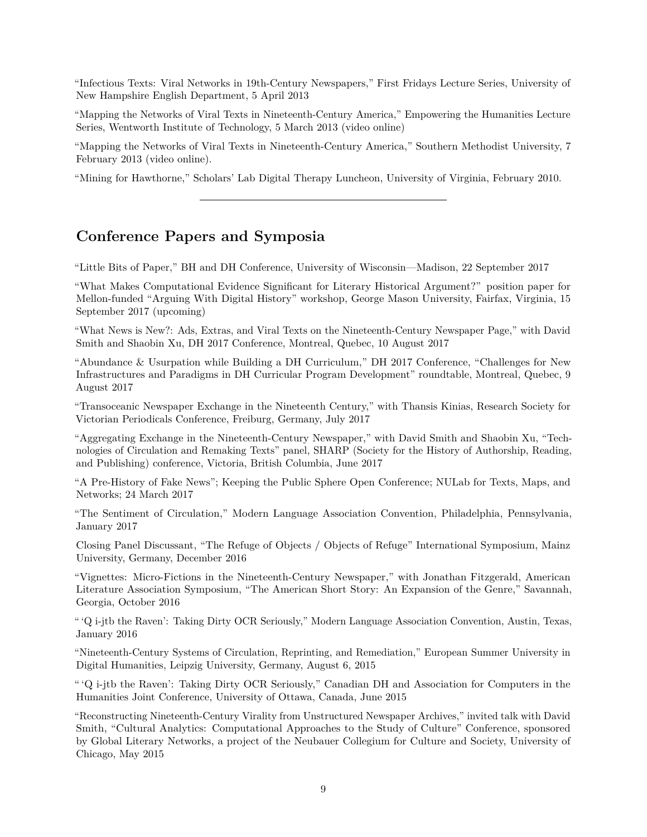"Infectious Texts: Viral Networks in 19th-Century Newspapers," First Fridays Lecture Series, University of New Hampshire English Department, 5 April 2013

"Mapping the Networks of Viral Texts in Nineteenth-Century America," Empowering the Humanities Lecture Series, Wentworth Institute of Technology, 5 March 2013 [\(video online\)](https://www.youtube.com/watch?v=AcTxT3DgQf8)

"Mapping the Networks of Viral Texts in Nineteenth-Century America," Southern Methodist University, 7 February 2013 [\(video online\)](https://www.youtube.com/watch?v=tuHHpltK2w4).

"Mining for Hawthorne," Scholars' Lab Digital Therapy Luncheon, University of Virginia, February 2010.

## **Conference Papers and Symposia**

"Little Bits of Paper," BH and DH Conference, University of Wisconsin—Madison, 22 September 2017

["What Makes Computational Evidence Significant for Literary Historical Argument?"](http://ryancordell.org/research/dh/computational-evidence-for-literary-historical-argument/) position paper for Mellon-funded "Arguing With Digital History" workshop, George Mason University, Fairfax, Virginia, 15 September 2017 (upcoming)

"What News is New?: Ads, Extras, and Viral Texts on the Nineteenth-Century Newspaper Page," with David Smith and Shaobin Xu, DH 2017 Conference, Montreal, Quebec, 10 August 2017

["Abundance & Usurpation while Building a DH Curriculum,"](http://ryancordell.org/research/abundance/) DH 2017 Conference, "Challenges for New Infrastructures and Paradigms in DH Curricular Program Development" roundtable, Montreal, Quebec, 9 August 2017

"Transoceanic Newspaper Exchange in the Nineteenth Century," with Thansis Kinias, Research Society for Victorian Periodicals Conference, Freiburg, Germany, July 2017

"Aggregating Exchange in the Nineteenth-Century Newspaper," with David Smith and Shaobin Xu, "Technologies of Circulation and Remaking Texts" panel, SHARP (Society for the History of Authorship, Reading, and Publishing) conference, Victoria, British Columbia, June 2017

"A Pre-History of Fake News"; Keeping the Public Sphere Open Conference; NULab for Texts, Maps, and Networks; 24 March 2017

"The Sentiment of Circulation," Modern Language Association Convention, Philadelphia, Pennsylvania, January 2017

Closing Panel Discussant, "The Refuge of Objects / Objects of Refuge" International Symposium, Mainz University, Germany, December 2016

"Vignettes: Micro-Fictions in the Nineteenth-Century Newspaper," with Jonathan Fitzgerald, American Literature Association Symposium, "The American Short Story: An Expansion of the Genre," Savannah, Georgia, October 2016

[" 'Q i-jtb the Raven': Taking Dirty OCR Seriously,"](http://ryancordell.org/research/qijtb-the-raven/) Modern Language Association Convention, Austin, Texas, January 2016

"Nineteenth-Century Systems of Circulation, Reprinting, and Remediation," European Summer University in Digital Humanities, Leipzig University, Germany, August 6, 2015

" 'Q i-jtb the Raven': Taking Dirty OCR Seriously," Canadian DH and Association for Computers in the Humanities Joint Conference, University of Ottawa, Canada, June 2015

"Reconstructing Nineteenth-Century Virality from Unstructured Newspaper Archives," invited talk with David Smith, "Cultural Analytics: Computational Approaches to the Study of Culture" Conference, sponsored by Global Literary Networks, a project of the Neubauer Collegium for Culture and Society, University of Chicago, May 2015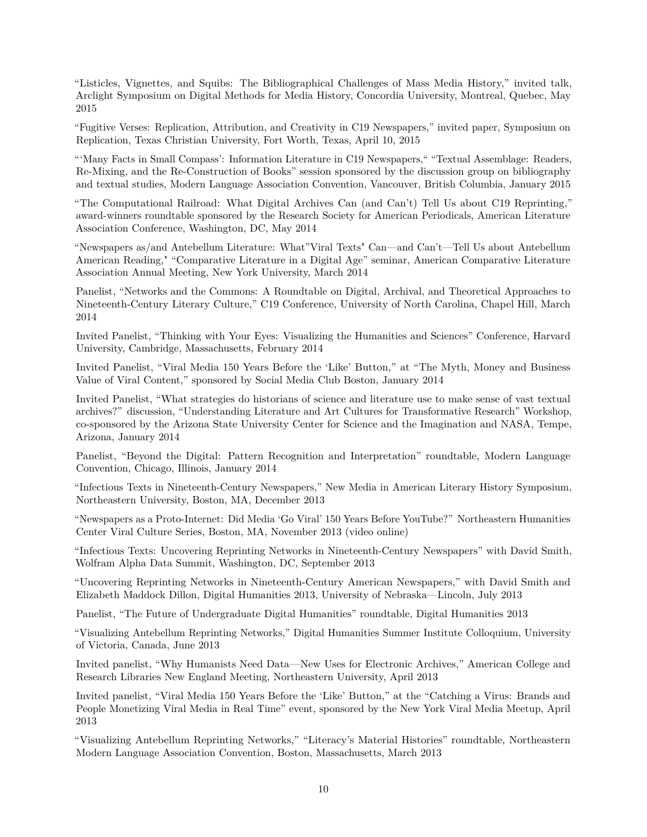"Listicles, Vignettes, and Squibs: The Bibliographical Challenges of Mass Media History," invited talk, Arclight Symposium on Digital Methods for Media History, Concordia University, Montreal, Quebec, May 2015

"Fugitive Verses: Replication, Attribution, and Creativity in C19 Newspapers," invited paper, Symposium on Replication, Texas Christian University, Fort Worth, Texas, April 10, 2015

["'Many Facts in Small Compass': Information Literature in C19 Newspapers,"](http://ryancordell.org/mla/many-facts-in-small-compass-information-literature-in-c19-newspapers-mla15-talk/) "Textual Assemblage: Readers, Re-Mixing, and the Re-Construction of Books" session sponsored by the discussion group on bibliography and textual studies, Modern Language Association Convention, Vancouver, British Columbia, January 2015

"The Computational Railroad: What Digital Archives Can (and Can't) Tell Us about C19 Reprinting," award-winners roundtable sponsored by the Research Society for American Periodicals, American Literature Association Conference, Washington, DC, May 2014

"Newspapers as/and Antebellum Literature: What"Viral Texts" Can—and Can't—Tell Us about Antebellum American Reading," "Comparative Literature in a Digital Age" seminar, American Comparative Literature Association Annual Meeting, New York University, March 2014

Panelist, "Networks and the Commons: A Roundtable on Digital, Archival, and Theoretical Approaches to Nineteenth-Century Literary Culture," C19 Conference, University of North Carolina, Chapel Hill, March 2014

Invited Panelist, "Thinking with Your Eyes: Visualizing the Humanities and Sciences" Conference, Harvard University, Cambridge, Massachusetts, February 2014

Invited Panelist, "Viral Media 150 Years Before the 'Like' Button," at "The Myth, Money and Business Value of Viral Content," sponsored by Social Media Club Boston, January 2014

Invited Panelist, "What strategies do historians of science and literature use to make sense of vast textual archives?" discussion, "Understanding Literature and Art Cultures for Transformative Research" Workshop, co-sponsored by the Arizona State University Center for Science and the Imagination and NASA, Tempe, Arizona, January 2014

Panelist, "Beyond the Digital: Pattern Recognition and Interpretation" roundtable, Modern Language Convention, Chicago, Illinois, January 2014

"Infectious Texts in Nineteenth-Century Newspapers," [New Media in American Literary History Symposium,](http://www.northeastern.edu/nulab/events/nmalh/) Northeastern University, Boston, MA, December 2013

"Newspapers as a Proto-Internet: Did Media 'Go Viral' 150 Years Before YouTube?" Northeastern Humanities Center Viral Culture Series, Boston, MA, November 2013 [\(video online\)](https://www.youtube.com/watch?v=VTJXxYQOQlY)

"Infectious Texts: Uncovering Reprinting Networks in Nineteenth-Century Newspapers" with David Smith, Wolfram Alpha Data Summit, Washington, DC, September 2013

"Uncovering Reprinting Networks in Nineteenth-Century American Newspapers," with David Smith and Elizabeth Maddock Dillon, Digital Humanities 2013, University of Nebraska—Lincoln, July 2013

Panelist, "The Future of Undergraduate Digital Humanities" roundtable, Digital Humanities 2013

"Visualizing Antebellum Reprinting Networks," Digital Humanities Summer Institute Colloquium, University of Victoria, Canada, June 2013

Invited panelist, "Why Humanists Need Data—New Uses for Electronic Archives," American College and Research Libraries New England Meeting, Northeastern University, April 2013

Invited panelist, "Viral Media 150 Years Before the 'Like' Button," at the "Catching a Virus: Brands and People Monetizing Viral Media in Real Time" event, sponsored by the New York Viral Media Meetup, April 2013

"Visualizing Antebellum Reprinting Networks," "Literacy's Material Histories" roundtable, Northeastern Modern Language Association Convention, Boston, Massachusetts, March 2013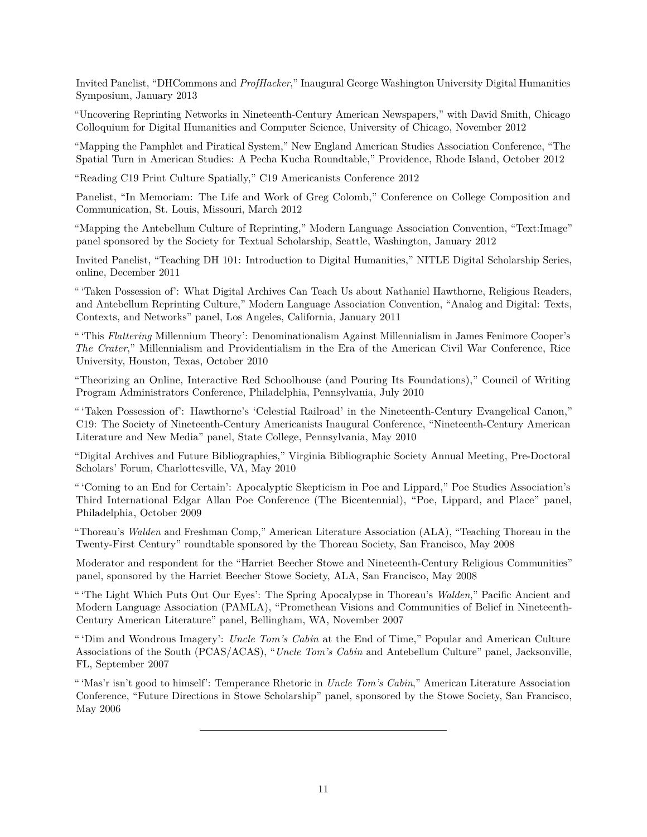Invited Panelist, "DHCommons and *ProfHacker*," Inaugural George Washington University Digital Humanities Symposium, January 2013

"Uncovering Reprinting Networks in Nineteenth-Century American Newspapers," with David Smith, Chicago Colloquium for Digital Humanities and Computer Science, University of Chicago, November 2012

"Mapping the Pamphlet and Piratical System," New England American Studies Association Conference, "The Spatial Turn in American Studies: A Pecha Kucha Roundtable," Providence, Rhode Island, October 2012

"Reading C19 Print Culture Spatially," C19 Americanists Conference 2012

Panelist, "In Memoriam: The Life and Work of Greg Colomb," Conference on College Composition and Communication, St. Louis, Missouri, March 2012

"Mapping the Antebellum Culture of Reprinting," Modern Language Association Convention, "Text:Image" panel sponsored by the Society for Textual Scholarship, Seattle, Washington, January 2012

Invited Panelist, "Teaching DH 101: Introduction to Digital Humanities," NITLE Digital Scholarship Series, online, December 2011

" 'Taken Possession of': What Digital Archives Can Teach Us about Nathaniel Hawthorne, Religious Readers, and Antebellum Reprinting Culture," Modern Language Association Convention, "Analog and Digital: Texts, Contexts, and Networks" panel, Los Angeles, California, January 2011

" 'This *Flattering* Millennium Theory': Denominationalism Against Millennialism in James Fenimore Cooper's *The Crater*," Millennialism and Providentialism in the Era of the American Civil War Conference, Rice University, Houston, Texas, October 2010

"Theorizing an Online, Interactive Red Schoolhouse (and Pouring Its Foundations)," Council of Writing Program Administrators Conference, Philadelphia, Pennsylvania, July 2010

" 'Taken Possession of': Hawthorne's 'Celestial Railroad' in the Nineteenth-Century Evangelical Canon," C19: The Society of Nineteenth-Century Americanists Inaugural Conference, "Nineteenth-Century American Literature and New Media" panel, State College, Pennsylvania, May 2010

"Digital Archives and Future Bibliographies," Virginia Bibliographic Society Annual Meeting, Pre-Doctoral Scholars' Forum, Charlottesville, VA, May 2010

" 'Coming to an End for Certain': Apocalyptic Skepticism in Poe and Lippard," Poe Studies Association's Third International Edgar Allan Poe Conference (The Bicentennial), "Poe, Lippard, and Place" panel, Philadelphia, October 2009

"Thoreau's *Walden* and Freshman Comp," American Literature Association (ALA), "Teaching Thoreau in the Twenty-First Century" roundtable sponsored by the Thoreau Society, San Francisco, May 2008

Moderator and respondent for the "Harriet Beecher Stowe and Nineteenth-Century Religious Communities" panel, sponsored by the Harriet Beecher Stowe Society, ALA, San Francisco, May 2008

" 'The Light Which Puts Out Our Eyes': The Spring Apocalypse in Thoreau's *Walden*," Pacific Ancient and Modern Language Association (PAMLA), "Promethean Visions and Communities of Belief in Nineteenth-Century American Literature" panel, Bellingham, WA, November 2007

" 'Dim and Wondrous Imagery': *Uncle Tom's Cabin* at the End of Time," Popular and American Culture Associations of the South (PCAS/ACAS), "*Uncle Tom's Cabin* and Antebellum Culture" panel, Jacksonville, FL, September 2007

" 'Mas'r isn't good to himself': Temperance Rhetoric in *Uncle Tom's Cabin*," American Literature Association Conference, "Future Directions in Stowe Scholarship" panel, sponsored by the Stowe Society, San Francisco, May 2006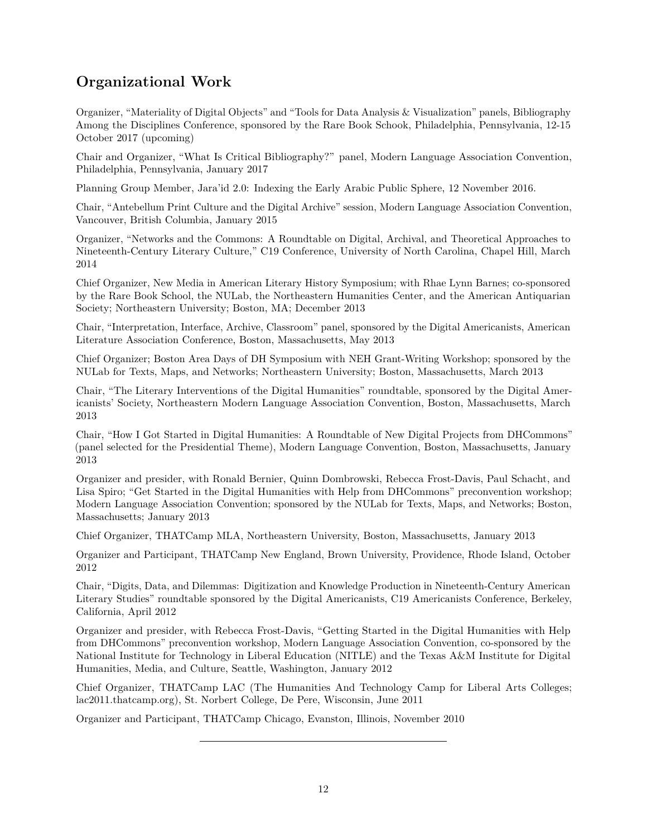## **Organizational Work**

Organizer, "Materiality of Digital Objects" and "Tools for Data Analysis & Visualization" panels, Bibliography Among the Disciplines Conference, sponsored by the Rare Book Schook, Philadelphia, Pennsylvania, 12-15 October 2017 (upcoming)

Chair and Organizer, "What Is Critical Bibliography?" panel, Modern Language Association Convention, Philadelphia, Pennsylvania, January 2017

Planning Group Member, Jara'id 2.0: Indexing the Early Arabic Public Sphere, 12 November 2016.

Chair, "Antebellum Print Culture and the Digital Archive" session, Modern Language Association Convention, Vancouver, British Columbia, January 2015

Organizer, "Networks and the Commons: A Roundtable on Digital, Archival, and Theoretical Approaches to Nineteenth-Century Literary Culture," C19 Conference, University of North Carolina, Chapel Hill, March 2014

Chief Organizer, [New Media in American Literary History Symposium;](http://www.northeastern.edu/nulab/events/nmalh/) with Rhae Lynn Barnes; co-sponsored by the Rare Book School, the NULab, the Northeastern Humanities Center, and the American Antiquarian Society; Northeastern University; Boston, MA; December 2013

Chair, "Interpretation, Interface, Archive, Classroom" panel, sponsored by the Digital Americanists, American Literature Association Conference, Boston, Massachusetts, May 2013

Chief Organizer; Boston Area Days of DH Symposium with NEH Grant-Writing Workshop; sponsored by the NULab for Texts, Maps, and Networks; Northeastern University; Boston, Massachusetts, March 2013

Chair, "The Literary Interventions of the Digital Humanities" roundtable, sponsored by the Digital Americanists' Society, Northeastern Modern Language Association Convention, Boston, Massachusetts, March 2013

Chair, "How I Got Started in Digital Humanities: A Roundtable of New Digital Projects from DHCommons" (panel selected for the Presidential Theme), Modern Language Convention, Boston, Massachusetts, January 2013

Organizer and presider, with Ronald Bernier, Quinn Dombrowski, Rebecca Frost-Davis, Paul Schacht, and Lisa Spiro; ["Get Started in the Digital Humanities with Help from DHCommons"](http://dhcommons.org/mla2013) preconvention workshop; Modern Language Association Convention; sponsored by the NULab for Texts, Maps, and Networks; Boston, Massachusetts; January 2013

Chief Organizer, [THATCamp MLA,](http://mla2013.thatcamp.org/) Northeastern University, Boston, Massachusetts, January 2013

Organizer and Participant, [THATCamp New England,](http://newengland2012.thatcamp.org/) Brown University, Providence, Rhode Island, October 2012

Chair, "Digits, Data, and Dilemmas: Digitization and Knowledge Production in Nineteenth-Century American Literary Studies" roundtable sponsored by the Digital Americanists, C19 Americanists Conference, Berkeley, California, April 2012

Organizer and presider, with Rebecca Frost-Davis, ["Getting Started in the Digital Humanities with Help](http://dhcommons.org/mla2012) [from DHCommons"](http://dhcommons.org/mla2012) preconvention workshop, Modern Language Association Convention, co-sponsored by the National Institute for Technology in Liberal Education (NITLE) and the Texas A&M Institute for Digital Humanities, Media, and Culture, Seattle, Washington, January 2012

Chief Organizer, THATCamp LAC (The Humanities And Technology Camp for Liberal Arts Colleges; lac2011.thatcamp.org), St. Norbert College, De Pere, Wisconsin, June 2011

Organizer and Participant, THATCamp Chicago, Evanston, Illinois, November 2010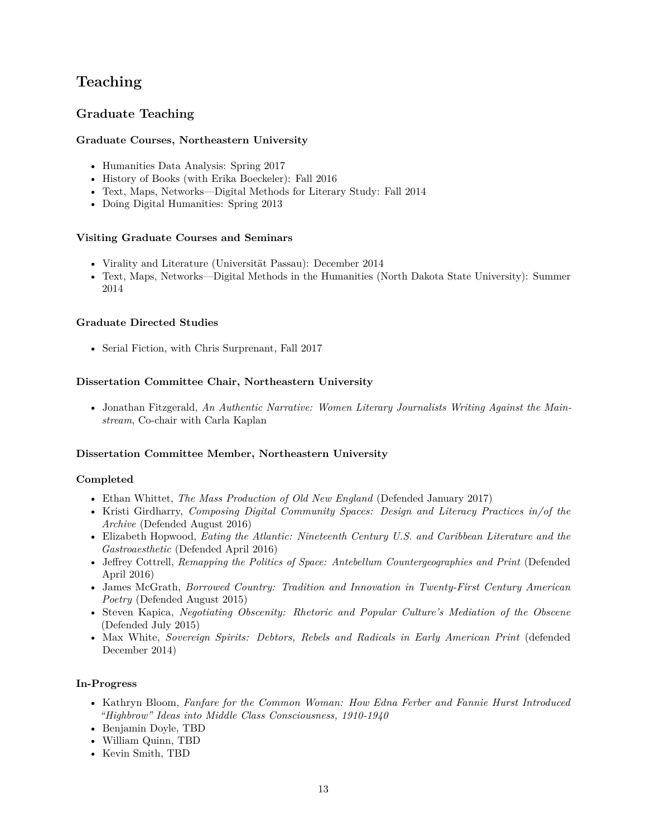## **Teaching**

## **Graduate Teaching**

#### **Graduate Courses, Northeastern University**

- Humanities Data Analysis: [Spring 2017](http://s17hda.ryancordell.org)
- History of Books (with Erika Boeckeler): [Fall 2016](http://historyofbooks.org)
- Text, Maps, Networks—Digital Methods for Literary Study: [Fall 2014](http://f14tmn.ryancordell.org/)
- Doing Digital Humanities: Spring 2013

#### **Visiting Graduate Courses and Seminars**

- Virality and Literature (Universität Passau): December 2014
- Text, Maps, Networks—Digital Methods in the Humanities (North Dakota State University): [Summer](http://su14tmn.ryancordell.org/) [2014](http://su14tmn.ryancordell.org/)

#### **Graduate Directed Studies**

• Serial Fiction, with Chris Surprenant, Fall 2017

#### **Dissertation Committee Chair, Northeastern University**

• Jonathan Fitzgerald, *An Authentic Narrative: Women Literary Journalists Writing Against the Mainstream*, Co-chair with Carla Kaplan

#### **Dissertation Committee Member, Northeastern University**

#### **Completed**

- Ethan Whittet, *The Mass Production of Old New England* (Defended January 2017)
- Kristi Girdharry, *Composing Digital Community Spaces: Design and Literacy Practices in/of the Archive* (Defended August 2016)
- Elizabeth Hopwood, *Eating the Atlantic: Nineteenth Century U.S. and Caribbean Literature and the Gastroaesthetic* (Defended April 2016)
- Jeffrey Cottrell, *Remapping the Politics of Space: Antebellum Countergeographies and Print* (Defended April 2016)
- James McGrath, *Borrowed Country: Tradition and Innovation in Twenty-First Century American Poetry* (Defended August 2015)
- Steven Kapica, *Negotiating Obscenity: Rhetoric and Popular Culture's Mediation of the Obscene* (Defended July 2015)
- Max White, *Sovereign Spirits: Debtors, Rebels and Radicals in Early American Print* (defended December 2014)

#### **In-Progress**

- Kathryn Bloom, *Fanfare for the Common Woman: How Edna Ferber and Fannie Hurst Introduced "Highbrow" Ideas into Middle Class Consciousness, 1910-1940*
- Benjamin Doyle, TBD
- William Quinn, TBD
- Kevin Smith, TBD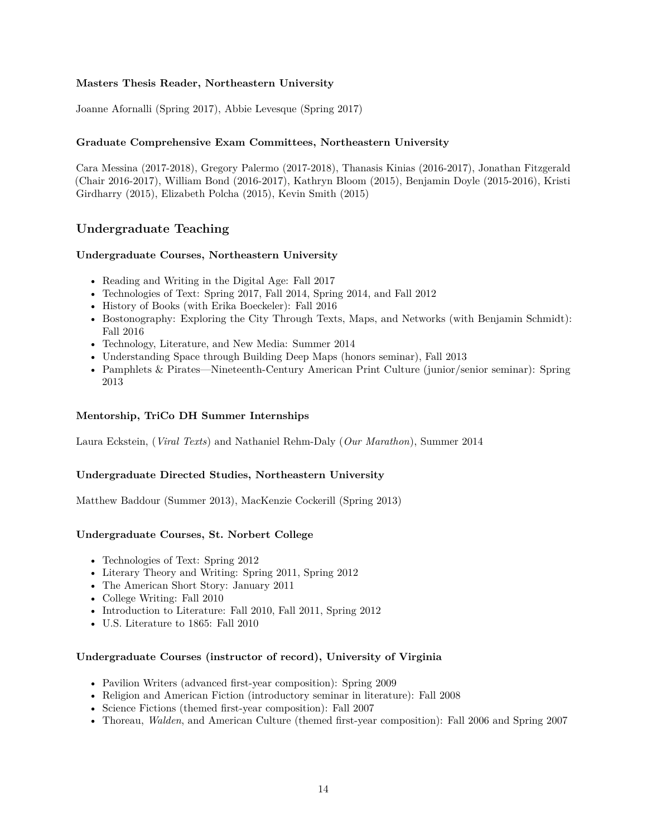#### **Masters Thesis Reader, Northeastern University**

Joanne Afornalli (Spring 2017), Abbie Levesque (Spring 2017)

#### **Graduate Comprehensive Exam Committees, Northeastern University**

Cara Messina (2017-2018), Gregory Palermo (2017-2018), Thanasis Kinias (2016-2017), Jonathan Fitzgerald (Chair 2016-2017), William Bond (2016-2017), Kathryn Bloom (2015), Benjamin Doyle (2015-2016), Kristi Girdharry (2015), Elizabeth Polcha (2015), Kevin Smith (2015)

### **Undergraduate Teaching**

#### **Undergraduate Courses, Northeastern University**

- Reading and Writing in the Digital Age: [Fall 2017](http://f17rwda.ryancordell.org)
- Technologies of Text: [Spring 2017,](http://s17tot.ryancordell.org) [Fall 2014,](http://f14tot.ryancordell.org/) Spring 2014, and Fall 2012
- History of Books (with Erika Boeckeler): [Fall 2016](http://historyofbooks.org)
- Bostonography: Exploring the City Through Texts, Maps, and Networks (with Benjamin Schmidt): [Fall 2016](http://bostonography.benschmidt.org/)
- Technology, Literature, and New Media: Summer 2014
- Understanding Space through Building Deep Maps (honors seminar), Fall 2013
- Pamphlets & Pirates—Nineteenth-Century American Print Culture (junior/senior seminar): Spring 2013

#### **Mentorship, [TriCo DH](http://tdh.brynmawr.edu/) Summer Internships**

Laura Eckstein, (*Viral Texts*) and Nathaniel Rehm-Daly (*Our Marathon*), Summer 2014

#### **Undergraduate Directed Studies, Northeastern University**

Matthew Baddour (Summer 2013), MacKenzie Cockerill (Spring 2013)

#### **Undergraduate Courses, St. Norbert College**

- Technologies of Text: Spring 2012
- Literary Theory and Writing: Spring 2011, Spring 2012
- The American Short Story: January 2011
- College Writing: Fall 2010
- Introduction to Literature: Fall 2010, Fall 2011, Spring 2012
- U.S. Literature to 1865: Fall 2010

#### **Undergraduate Courses (instructor of record), University of Virginia**

- Pavilion Writers (advanced first-year composition): Spring 2009
- Religion and American Fiction (introductory seminar in literature): Fall 2008
- Science Fictions (themed first-year composition): Fall 2007
- Thoreau, *Walden*, and American Culture (themed first-year composition): Fall 2006 and Spring 2007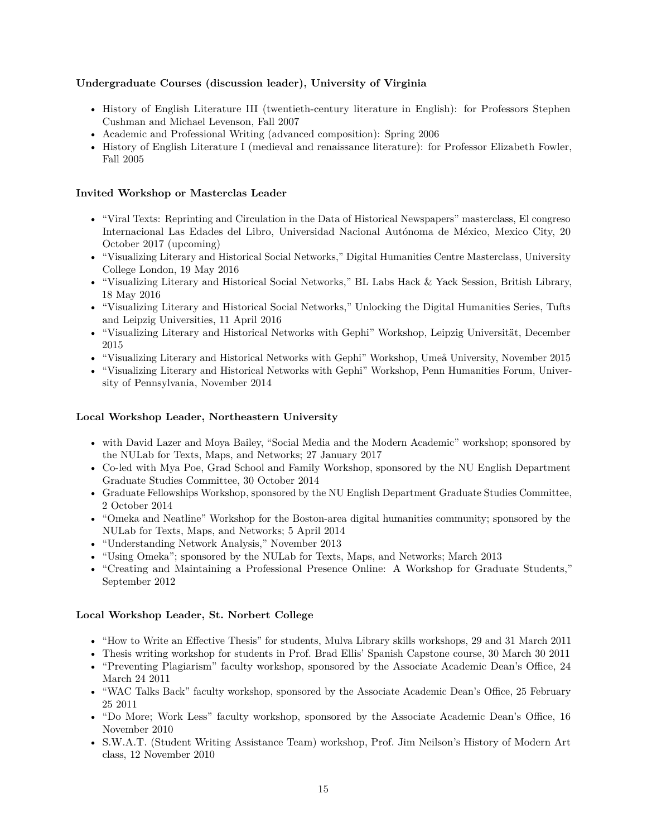#### **Undergraduate Courses (discussion leader), University of Virginia**

- History of English Literature III (twentieth-century literature in English): for Professors Stephen Cushman and Michael Levenson, Fall 2007
- Academic and Professional Writing (advanced composition): Spring 2006
- History of English Literature I (medieval and renaissance literature): for Professor Elizabeth Fowler, Fall 2005

#### **Invited Workshop or Masterclas Leader**

- "Viral Texts: Reprinting and Circulation in the Data of Historical Newspapers" masterclass, El congreso Internacional Las Edades del Libro, Universidad Nacional Autónoma de México, Mexico City, 20 October 2017 (upcoming)
- "Visualizing Literary and Historical Social Networks," Digital Humanities Centre Masterclass, University College London, 19 May 2016
- "Visualizing Literary and Historical Social Networks," BL Labs Hack & Yack Session, British Library, 18 May 2016
- "Visualizing Literary and Historical Social Networks," Unlocking the Digital Humanities Series, Tufts and Leipzig Universities, 11 April 2016
- "Visualizing Literary and Historical Networks with Gephi" Workshop, Leipzig Universität, December 2015
- "Visualizing Literary and Historical Networks with Gephi" Workshop, Umeå University, November 2015
- "Visualizing Literary and Historical Networks with Gephi" Workshop, Penn Humanities Forum, University of Pennsylvania, November 2014

#### **Local Workshop Leader, Northeastern University**

- with David Lazer and Moya Bailey, "Social Media and the Modern Academic" workshop; sponsored by the NULab for Texts, Maps, and Networks; 27 January 2017
- Co-led with Mya Poe, Grad School and Family Workshop, sponsored by the NU English Department Graduate Studies Committee, 30 October 2014
- Graduate Fellowships Workshop, sponsored by the NU English Department Graduate Studies Committee, 2 October 2014
- "Omeka and Neatline" Workshop for the Boston-area digital humanities community; sponsored by the NULab for Texts, Maps, and Networks; 5 April 2014
- "Understanding Network Analysis," November 2013
- "Using Omeka"; sponsored by the NULab for Texts, Maps, and Networks; March 2013
- "Creating and Maintaining a Professional Presence Online: A Workshop for Graduate Students," September 2012

#### **Local Workshop Leader, St. Norbert College**

- "How to Write an Effective Thesis" for students, Mulva Library skills workshops, 29 and 31 March 2011
- Thesis writing workshop for students in Prof. Brad Ellis' Spanish Capstone course, 30 March 30 2011
- "Preventing Plagiarism" faculty workshop, sponsored by the Associate Academic Dean's Office, 24 March 24 2011
- "WAC Talks Back" faculty workshop, sponsored by the Associate Academic Dean's Office, 25 February 25 2011
- "Do More; Work Less" faculty workshop, sponsored by the Associate Academic Dean's Office, 16 November 2010
- S.W.A.T. (Student Writing Assistance Team) workshop, Prof. Jim Neilson's History of Modern Art class, 12 November 2010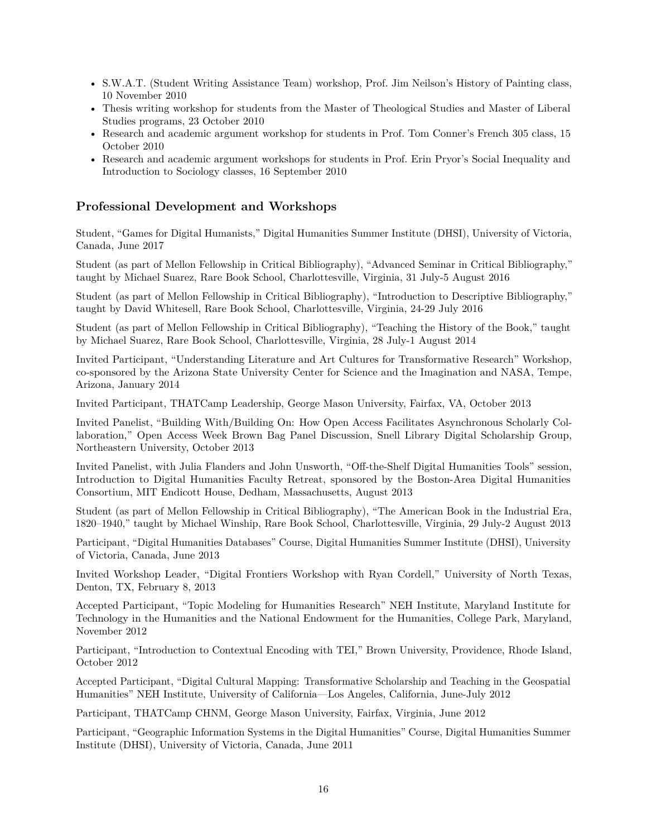- S.W.A.T. (Student Writing Assistance Team) workshop, Prof. Jim Neilson's History of Painting class, 10 November 2010
- Thesis writing workshop for students from the Master of Theological Studies and Master of Liberal Studies programs, 23 October 2010
- Research and academic argument workshop for students in Prof. Tom Conner's French 305 class, 15 October 2010
- Research and academic argument workshops for students in Prof. Erin Pryor's Social Inequality and Introduction to Sociology classes, 16 September 2010

#### **Professional Development and Workshops**

Student, "Games for Digital Humanists," Digital Humanities Summer Institute (DHSI), University of Victoria, Canada, June 2017

Student (as part of Mellon Fellowship in Critical Bibliography), "Advanced Seminar in Critical Bibliography," taught by Michael Suarez, Rare Book School, Charlottesville, Virginia, 31 July-5 August 2016

Student (as part of Mellon Fellowship in Critical Bibliography), "Introduction to Descriptive Bibliography," taught by David Whitesell, Rare Book School, Charlottesville, Virginia, 24-29 July 2016

Student (as part of Mellon Fellowship in Critical Bibliography), "Teaching the History of the Book," taught by Michael Suarez, Rare Book School, Charlottesville, Virginia, 28 July-1 August 2014

Invited Participant, "Understanding Literature and Art Cultures for Transformative Research" Workshop, co-sponsored by the Arizona State University Center for Science and the Imagination and NASA, Tempe, Arizona, January 2014

Invited Participant, THATCamp Leadership, George Mason University, Fairfax, VA, October 2013

Invited Panelist, "Building With/Building On: How Open Access Facilitates Asynchronous Scholarly Collaboration," Open Access Week Brown Bag Panel Discussion, Snell Library Digital Scholarship Group, Northeastern University, October 2013

Invited Panelist, with Julia Flanders and John Unsworth, "Off-the-Shelf Digital Humanities Tools" session, [Introduction to Digital Humanities Faculty Retreat,](http://nercomp.org/index.php?section=events&evtid=276) sponsored by the Boston-Area Digital Humanities Consortium, MIT Endicott House, Dedham, Massachusetts, August 2013

Student (as part of Mellon Fellowship in Critical Bibliography), "The American Book in the Industrial Era, 1820–1940," taught by Michael Winship, Rare Book School, Charlottesville, Virginia, 29 July-2 August 2013

Participant, "Digital Humanities Databases" Course, Digital Humanities Summer Institute (DHSI), University of Victoria, Canada, June 2013

Invited Workshop Leader, "Digital Frontiers Workshop with Ryan Cordell," University of North Texas, Denton, TX, February 8, 2013

Accepted Participant, ["Topic Modeling for Humanities Research" NEH Institute,](http://mith.umd.edu/topicmodeling/) Maryland Institute for Technology in the Humanities and the National Endowment for the Humanities, College Park, Maryland, November 2012

Participant, "Introduction to Contextual Encoding with TEI," Brown University, Providence, Rhode Island, October 2012

Accepted Participant, ["Digital Cultural Mapping: Transformative Scholarship and Teaching in the Geospatial](http://hypercities.com/NEH/) [Humanities" NEH Institute,](http://hypercities.com/NEH/) University of California—Los Angeles, California, June-July 2012

Participant, [THATCamp CHNM,](http://chnm2012.thatcamp.org/) George Mason University, Fairfax, Virginia, June 2012

Participant, "Geographic Information Systems in the Digital Humanities" Course, Digital Humanities Summer Institute (DHSI), University of Victoria, Canada, June 2011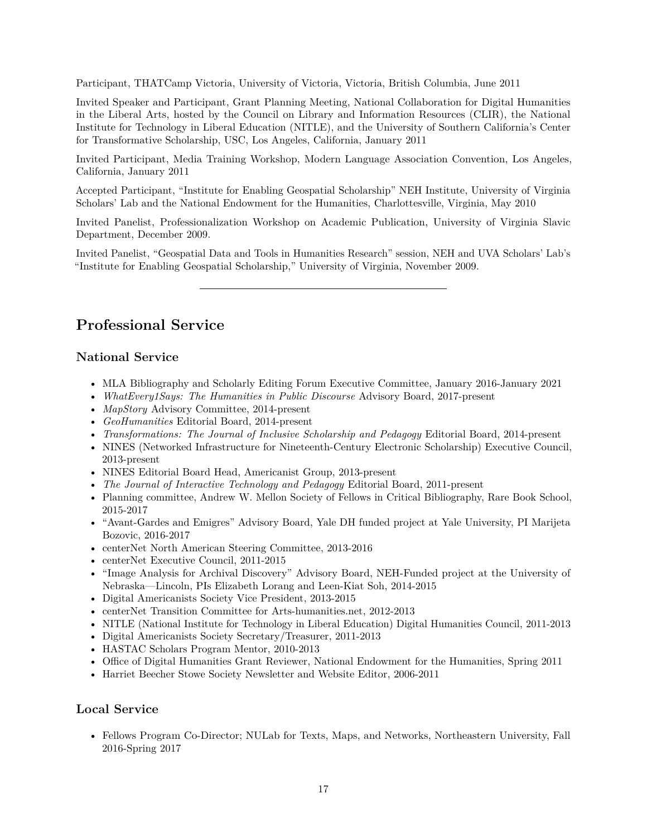Participant, THATCamp Victoria, University of Victoria, Victoria, British Columbia, June 2011

Invited Speaker and Participant, Grant Planning Meeting, National Collaboration for Digital Humanities in the Liberal Arts, hosted by the Council on Library and Information Resources (CLIR), the National Institute for Technology in Liberal Education (NITLE), and the University of Southern California's Center for Transformative Scholarship, USC, Los Angeles, California, January 2011

Invited Participant, Media Training Workshop, Modern Language Association Convention, Los Angeles, California, January 2011

Accepted Participant, "Institute for Enabling Geospatial Scholarship" NEH Institute, University of Virginia Scholars' Lab and the National Endowment for the Humanities, Charlottesville, Virginia, May 2010

Invited Panelist, Professionalization Workshop on Academic Publication, University of Virginia Slavic Department, December 2009.

Invited Panelist, "Geospatial Data and Tools in Humanities Research" session, NEH and UVA Scholars' Lab's "Institute for Enabling Geospatial Scholarship," University of Virginia, November 2009.

## **Professional Service**

#### **National Service**

- MLA Bibliography and Scholarly Editing Forum Executive Committee, January 2016-January 2021
- *[WhatEvery1Says: The Humanities in Public Discourse](http://we1s.ucsb.edu/)* Advisory Board, 2017-present
- *[MapStory](http://mapstory.org/)* Advisory Committee, 2014-present
- *GeoHumanities* Editorial Board, 2014-present
- *Transformations: The Journal of Inclusive Scholarship and Pedagogy* Editorial Board, 2014-present
- [NINES](http://www.nines.org/) (Networked Infrastructure for Nineteenth-Century Electronic Scholarship) Executive Council, 2013-present
- NINES Editorial Board Head, Americanist Group, 2013-present
- *[The Journal of Interactive Technology and Pedagogy](http://ojs.gc.cuny.edu/index.php/itcp/index)* Editorial Board, 2011-present
- Planning committee, Andrew W. Mellon Society of Fellows in Critical Bibliography, Rare Book School, 2015-2017
- "Avant-Gardes and Emigres" Advisory Board, Yale DH funded project at Yale University, PI Marijeta Bozovic, 2016-2017
- centerNet North American Steering Committee, 2013-2016
- centerNet Executive Council, 2011-2015
- "Image Analysis for Archival Discovery" Advisory Board, NEH-Funded project at the University of Nebraska—Lincoln, PIs Elizabeth Lorang and Leen-Kiat Soh, 2014-2015
- [Digital Americanists Society](http://digitalamericanists.unl.edu/wordpress/) Vice President, 2013-2015
- centerNet Transition Committee for Arts-humanities.net, 2012-2013
- NITLE (National Institute for Technology in Liberal Education) Digital Humanities Council, 2011-2013
- [Digital Americanists Society](http://digitalamericanists.unl.edu/wordpress/) Secretary/Treasurer, 2011-2013
- HASTAC Scholars Program Mentor, 2010-2013
- Office of Digital Humanities Grant Reviewer, National Endowment for the Humanities, Spring 2011
- Harriet Beecher Stowe Society Newsletter and Website Editor, 2006-2011

#### **Local Service**

• Fellows Program Co-Director; NULab for Texts, Maps, and Networks, Northeastern University, Fall 2016-Spring 2017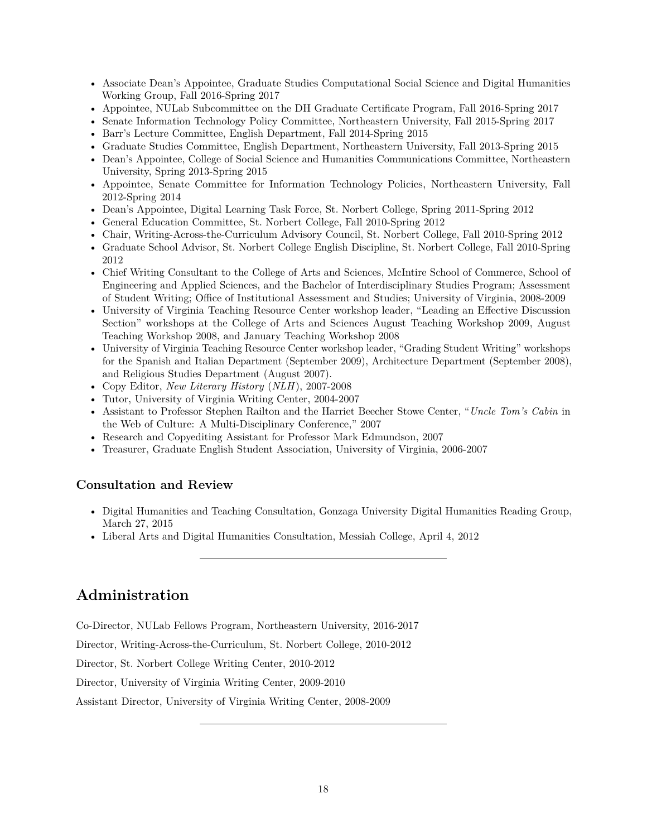- Associate Dean's Appointee, Graduate Studies Computational Social Science and Digital Humanities Working Group, Fall 2016-Spring 2017
- Appointee, NULab Subcommittee on the DH Graduate Certificate Program, Fall 2016-Spring 2017
- Senate Information Technology Policy Committee, Northeastern University, Fall 2015-Spring 2017
- Barr's Lecture Committee, English Department, Fall 2014-Spring 2015
- Graduate Studies Committee, English Department, Northeastern University, Fall 2013-Spring 2015
- Dean's Appointee, College of Social Science and Humanities Communications Committee, Northeastern University, Spring 2013-Spring 2015
- Appointee, Senate Committee for Information Technology Policies, Northeastern University, Fall 2012-Spring 2014
- Dean's Appointee, Digital Learning Task Force, St. Norbert College, Spring 2011-Spring 2012
- General Education Committee, St. Norbert College, Fall 2010-Spring 2012
- Chair, Writing-Across-the-Curriculum Advisory Council, St. Norbert College, Fall 2010-Spring 2012
- Graduate School Advisor, St. Norbert College English Discipline, St. Norbert College, Fall 2010-Spring 2012
- Chief Writing Consultant to the College of Arts and Sciences, McIntire School of Commerce, School of Engineering and Applied Sciences, and the Bachelor of Interdisciplinary Studies Program; Assessment of Student Writing; Office of Institutional Assessment and Studies; University of Virginia, 2008-2009
- University of Virginia Teaching Resource Center workshop leader, "Leading an Effective Discussion Section" workshops at the College of Arts and Sciences August Teaching Workshop 2009, August Teaching Workshop 2008, and January Teaching Workshop 2008
- University of Virginia Teaching Resource Center workshop leader, "Grading Student Writing" workshops for the Spanish and Italian Department (September 2009), Architecture Department (September 2008), and Religious Studies Department (August 2007).
- Copy Editor, *New Literary History* (*NLH*), 2007-2008
- Tutor, University of Virginia Writing Center, 2004-2007
- Assistant to Professor Stephen Railton and the Harriet Beecher Stowe Center, "*Uncle Tom's Cabin* in the Web of Culture: A Multi-Disciplinary Conference," 2007
- Research and Copyediting Assistant for Professor Mark Edmundson, 2007
- Treasurer, Graduate English Student Association, University of Virginia, 2006-2007

### **Consultation and Review**

- Digital Humanities and Teaching Consultation, Gonzaga University Digital Humanities Reading Group, March 27, 2015
- Liberal Arts and Digital Humanities Consultation, Messiah College, April 4, 2012

## **Administration**

Co-Director, NULab Fellows Program, Northeastern University, 2016-2017

Director, Writing-Across-the-Curriculum, St. Norbert College, 2010-2012

Director, St. Norbert College Writing Center, 2010-2012

Director, University of Virginia Writing Center, 2009-2010

Assistant Director, University of Virginia Writing Center, 2008-2009